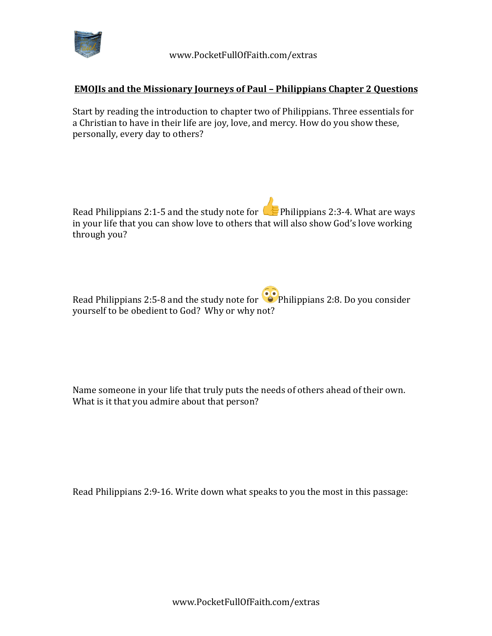

## **EMOJIs and the Missionary Journeys of Paul - Philippians Chapter 2 Questions**

Start by reading the introduction to chapter two of Philippians. Three essentials for a Christian to have in their life are joy, love, and mercy. How do you show these, personally, every day to others?

Read Philippians 2:1-5 and the study note for  $\Box$  Philippians 2:3-4. What are ways in your life that you can show love to others that will also show God's love working through you?

Read Philippians 2:5-8 and the study note for  $\bullet$  Philippians 2:8. Do you consider yourself to be obedient to God? Why or why not?

Name someone in your life that truly puts the needs of others ahead of their own. What is it that you admire about that person?

Read Philippians 2:9-16. Write down what speaks to you the most in this passage: